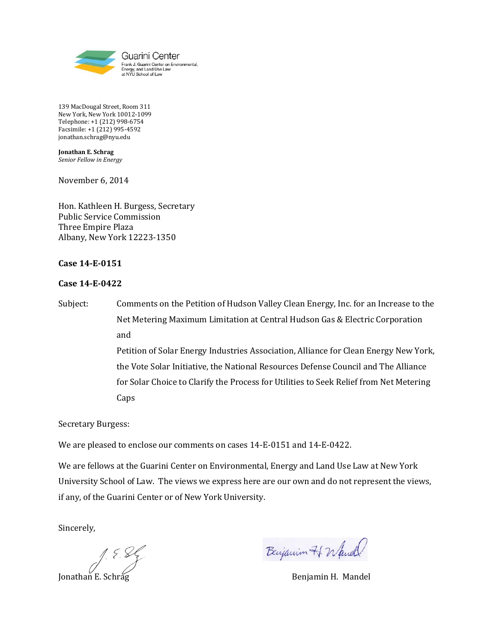

139 MacDougal Street, Room 311 New York, New York 10012-1099 Telephone: +1 (212) 998-6754 Facsimile: +1 (212) 995-4592 jonathan.schrag@nyu.edu

**Jonathan E. Schrag** *Senior Fellow in Energy*

November 6, 2014

Hon. Kathleen H. Burgess, Secretary Public Service Commission Three Empire Plaza Albany, New York 12223-1350

## **Case 14-E-0151**

## **Case 14-E-0422**

Subject: Comments on the Petition of Hudson Valley Clean Energy, Inc. for an Increase to the Net Metering Maximum Limitation at Central Hudson Gas & Electric Corporation and Petition of Solar Energy Industries Association, Alliance for Clean Energy New York, the Vote Solar Initiative, the National Resources Defense Council and The Alliance for Solar Choice to Clarify the Process for Utilities to Seek Relief from Net Metering Caps

Secretary Burgess:

We are pleased to enclose our comments on cases 14-E-0151 and 14-E-0422.

We are fellows at the Guarini Center on Environmental, Energy and Land Use Law at New York University School of Law. The views we express here are our own and do not represent the views, if any, of the Guarini Center or of New York University.

Sincerely,

J. E. S. Elijanin H. Nandel<br>Jonathan E. Schrag Benjamin H. Mandel

Benjamin 71 Wand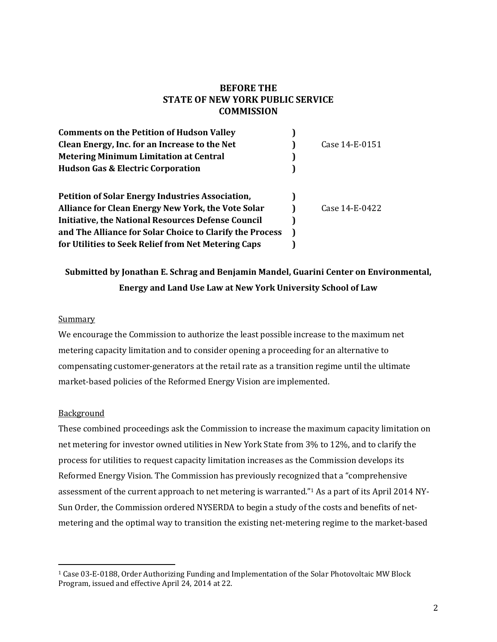# **BEFORE THE STATE OF NEW YORK PUBLIC SERVICE COMMISSION**

| <b>Comments on the Petition of Hudson Valley</b>          |                |
|-----------------------------------------------------------|----------------|
| Clean Energy, Inc. for an Increase to the Net             | Case 14-E-0151 |
| <b>Metering Minimum Limitation at Central</b>             |                |
| <b>Hudson Gas &amp; Electric Corporation</b>              |                |
| <b>Petition of Solar Energy Industries Association,</b>   |                |
| Alliance for Clean Energy New York, the Vote Solar        | Case 14-E-0422 |
| <b>Initiative, the National Resources Defense Council</b> |                |
| and The Alliance for Solar Choice to Clarify the Process  |                |
| for Utilities to Seek Relief from Net Metering Caps       |                |

# **Submitted by Jonathan E. Schrag and Benjamin Mandel, Guarini Center on Environmental, Energy and Land Use Law at New York University School of Law**

### **Summary**

We encourage the Commission to authorize the least possible increase to the maximum net metering capacity limitation and to consider opening a proceeding for an alternative to compensating customer-generators at the retail rate as a transition regime until the ultimate market-based policies of the Reformed Energy Vision are implemented.

#### Background

 $\overline{a}$ 

These combined proceedings ask the Commission to increase the maximum capacity limitation on net metering for investor owned utilities in New York State from 3% to 12%, and to clarify the process for utilities to request capacity limitation increases as the Commission develops its Reformed Energy Vision. The Commission has previously recognized that a "comprehensive assessment of the current approach to net metering is warranted."<sup>1</sup> As a part of its April 2014 NY-Sun Order, the Commission ordered NYSERDA to begin a study of the costs and benefits of netmetering and the optimal way to transition the existing net-metering regime to the market-based

<sup>1</sup> Case 03-E-0188, Order Authorizing Funding and Implementation of the Solar Photovoltaic MW Block Program, issued and effective April 24, 2014 at 22.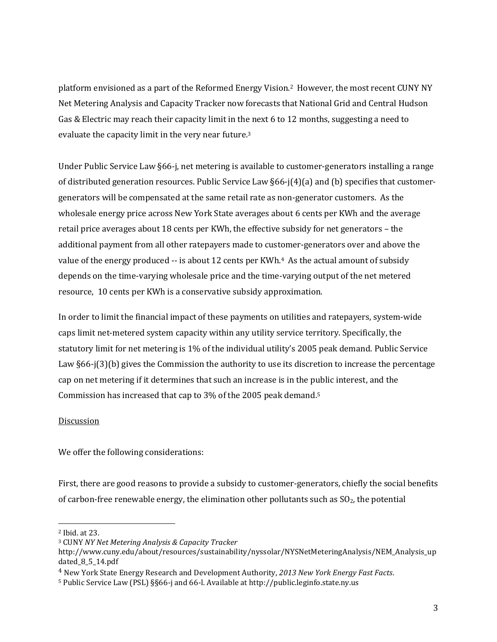platform envisioned as a part of the Reformed Energy Vision.2 However, the most recent CUNY NY Net Metering Analysis and Capacity Tracker now forecasts that National Grid and Central Hudson Gas & Electric may reach their capacity limit in the next 6 to 12 months, suggesting a need to evaluate the capacity limit in the very near future.<sup>3</sup>

Under Public Service Law §66-j, net metering is available to customer-generators installing a range of distributed generation resources. Public Service Law §66-j(4)(a) and (b) specifies that customergenerators will be compensated at the same retail rate as non-generator customers. As the wholesale energy price across New York State averages about 6 cents per KWh and the average retail price averages about 18 cents per KWh, the effective subsidy for net generators – the additional payment from all other ratepayers made to customer-generators over and above the value of the energy produced -- is about 12 cents per KWh.<sup>4</sup> As the actual amount of subsidy depends on the time-varying wholesale price and the time-varying output of the net metered resource, 10 cents per KWh is a conservative subsidy approximation.

In order to limit the financial impact of these payments on utilities and ratepayers, system-wide caps limit net-metered system capacity within any utility service territory. Specifically, the statutory limit for net metering is 1% of the individual utility's 2005 peak demand. Public Service Law §66-j(3)(b) gives the Commission the authority to use its discretion to increase the percentage cap on net metering if it determines that such an increase is in the public interest, and the Commission has increased that cap to 3% of the 2005 peak demand. 5

# Discussion

We offer the following considerations:

First, there are good reasons to provide a subsidy to customer-generators, chiefly the social benefits of carbon-free renewable energy, the elimination other pollutants such as  $SO<sub>2</sub>$ , the potential

l

<sup>2</sup> Ibid. at 23.

<sup>3</sup> CUNY *NY Net Metering Analysis & Capacity Tracker*

http://www.cuny.edu/about/resources/sustainability/nyssolar/NYSNetMeteringAnalysis/NEM\_Analysis\_up dated\_8\_5\_14.pdf

<sup>4</sup> New York State Energy Research and Development Authority, *2013 New York Energy Fast Facts*.

<sup>5</sup> Public Service Law (PSL) §§66-j and 66-l. Available at http://public.leginfo.state.ny.us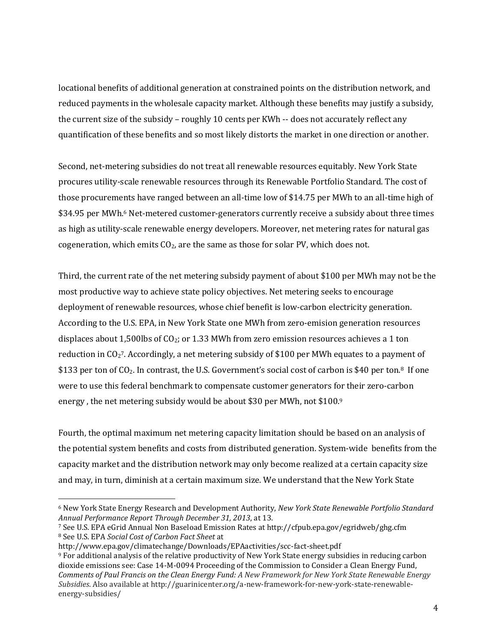locational benefits of additional generation at constrained points on the distribution network, and reduced payments in the wholesale capacity market. Although these benefits may justify a subsidy, the current size of the subsidy – roughly 10 cents per KWh -- does not accurately reflect any quantification of these benefits and so most likely distorts the market in one direction or another.

Second, net-metering subsidies do not treat all renewable resources equitably. New York State procures utility-scale renewable resources through its Renewable Portfolio Standard. The cost of those procurements have ranged between an all-time low of \$14.75 per MWh to an all-time high of \$34.95 per MWh.<sup>6</sup> Net-metered customer-generators currently receive a subsidy about three times as high as utility-scale renewable energy developers. Moreover, net metering rates for natural gas cogeneration, which emits CO<sub>2</sub>, are the same as those for solar PV, which does not.

Third, the current rate of the net metering subsidy payment of about \$100 per MWh may not be the most productive way to achieve state policy objectives. Net metering seeks to encourage deployment of renewable resources, whose chief benefit is low-carbon electricity generation. According to the U.S. EPA, in New York State one MWh from zero-emision generation resources displaces about 1,500lbs of  $CO_2$ ; or 1.33 MWh from zero emission resources achieves a 1 ton reduction in  $CO_2$ <sup>7</sup>. Accordingly, a net metering subsidy of \$100 per MWh equates to a payment of \$133 per ton of  $CO<sub>2</sub>$ . In contrast, the U.S. Government's social cost of carbon is \$40 per ton.<sup>8</sup> If one were to use this federal benchmark to compensate customer generators for their zero-carbon energy , the net metering subsidy would be about \$30 per MWh, not \$100. 9

Fourth, the optimal maximum net metering capacity limitation should be based on an analysis of the potential system benefits and costs from distributed generation. System-wide benefits from the capacity market and the distribution network may only become realized at a certain capacity size and may, in turn, diminish at a certain maximum size. We understand that the New York State

 $\overline{a}$ 

<sup>6</sup> New York State Energy Research and Development Authority, *New York State Renewable Portfolio Standard Annual Performance Report Through December 31, 2013*, at 13.

<sup>7</sup> See U.S. EPA eGrid Annual Non Baseload Emission Rates at http://cfpub.epa.gov/egridweb/ghg.cfm <sup>8</sup> See U.S. EPA *Social Cost of Carbon Fact Sheet* at

http://www.epa.gov/climatechange/Downloads/EPAactivities/scc-fact-sheet.pdf

<sup>9</sup> For additional analysis of the relative productivity of New York State energy subsidies in reducing carbon dioxide emissions see: Case 14-M-0094 Proceeding of the Commission to Consider a Clean Energy Fund, *Comments of Paul Francis on the Clean Energy Fund: A New Framework for New York State Renewable Energy Subsidies*. Also available at http://guarinicenter.org/a-new-framework-for-new-york-state-renewableenergy-subsidies/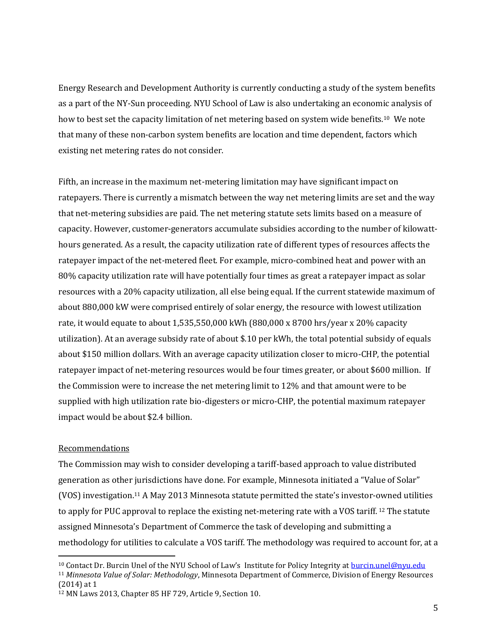Energy Research and Development Authority is currently conducting a study of the system benefits as a part of the NY-Sun proceeding. NYU School of Law is also undertaking an economic analysis of how to best set the capacity limitation of net metering based on system wide benefits.10 We note that many of these non-carbon system benefits are location and time dependent, factors which existing net metering rates do not consider.

Fifth, an increase in the maximum net-metering limitation may have significant impact on ratepayers. There is currently a mismatch between the way net metering limits are set and the way that net-metering subsidies are paid. The net metering statute sets limits based on a measure of capacity. However, customer-generators accumulate subsidies according to the number of kilowatthours generated. As a result, the capacity utilization rate of different types of resources affects the ratepayer impact of the net-metered fleet. For example, micro-combined heat and power with an 80% capacity utilization rate will have potentially four times as great a ratepayer impact as solar resources with a 20% capacity utilization, all else being equal. If the current statewide maximum of about 880,000 kW were comprised entirely of solar energy, the resource with lowest utilization rate, it would equate to about 1,535,550,000 kWh (880,000 x 8700 hrs/year x 20% capacity utilization). At an average subsidy rate of about \$.10 per kWh, the total potential subsidy of equals about \$150 million dollars. With an average capacity utilization closer to micro-CHP, the potential ratepayer impact of net-metering resources would be four times greater, or about \$600 million. If the Commission were to increase the net metering limit to 12% and that amount were to be supplied with high utilization rate bio-digesters or micro-CHP, the potential maximum ratepayer impact would be about \$2.4 billion.

#### Recommendations

 $\overline{a}$ 

<span id="page-4-0"></span>The Commission may wish to consider developing a tariff-based approach to value distributed generation as other jurisdictions have done. For example, Minnesota initiated a "Value of Solar" (VOS) investigation.<sup>11</sup> A May 2013 Minnesota statute permitted the state's investor-owned utilities to apply for PUC approval to replace the existing net-metering rate with a VOS tariff.<sup>12</sup> The statute assigned Minnesota's Department of Commerce the task of developing and submitting a methodology for utilities to calculate a VOS tariff. The methodology was required to account for, at a

<sup>10</sup> Contact Dr. Burcin Unel of the NYU School of Law's Institute for Policy Integrity at [burcin.unel@nyu.edu](mailto:burcin.unel@nyu.edu) <sup>11</sup> *Minnesota Value of Solar: Methodology*, Minnesota Department of Commerce, Division of Energy Resources (2014) at 1

<sup>12</sup> MN Laws 2013, Chapter 85 HF 729, Article 9, Section 10.